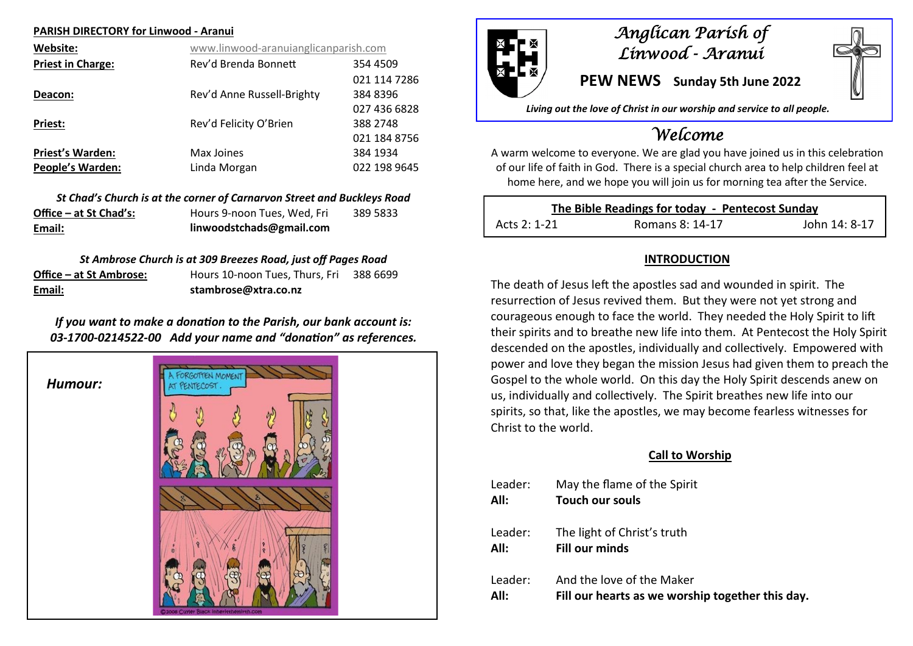#### **PARISH DIRECTORY for Linwood - Aranui**

| Website:                 | www.linwood-aranuianglicanparish.com |              |
|--------------------------|--------------------------------------|--------------|
| <b>Priest in Charge:</b> | Rev'd Brenda Bonnett                 | 354 4509     |
|                          |                                      | 021 114 7286 |
| Deacon:                  | Rev'd Anne Russell-Brighty           | 384 8396     |
|                          |                                      | 027 436 6828 |
| Priest:                  | Rev'd Felicity O'Brien               | 388 2748     |
|                          |                                      | 021 184 8756 |
| <b>Priest's Warden:</b>  | Max Joines                           | 384 1934     |
| <b>People's Warden:</b>  | Linda Morgan                         | 022 198 9645 |

|                        | St Chad's Church is at the corner of Carnarvon Street and Buckleys Road |          |
|------------------------|-------------------------------------------------------------------------|----------|
| Office – at St Chad's: | Hours 9-noon Tues, Wed, Fri                                             | 389 5833 |
| Email:                 | linwoodstchads@gmail.com                                                |          |

#### *St Ambrose Church is at 309 Breezes Road, just off Pages Road*

| Email:                  | stambrose@xtra.co.nz           |          |
|-------------------------|--------------------------------|----------|
| Office – at St Ambrose: | Hours 10-noon Tues, Thurs, Fri | 388 6699 |

## *If you want to make a donation to the Parish, our bank account is: 03-1700-0214522-00 Add your name and "donation" as references.*





## *Anglican Parish of Linwood - Aranui*

**PEW NEWS Sunday 5th June 2022**

*Living out the love of Christ in our worship and service to all people.*

# *Welcome*

A warm welcome to everyone. We are glad you have joined us in this celebration of our life of faith in God. There is a special church area to help children feel at home here, and we hope you will join us for morning tea after the Service.

| The Bible Readings for today - Pentecost Sunday |                 |               |
|-------------------------------------------------|-----------------|---------------|
| Acts 2: 1-21                                    | Romans 8: 14-17 | John 14: 8-17 |

## **INTRODUCTION**

The death of Jesus left the apostles sad and wounded in spirit. The resurrection of Jesus revived them. But they were not yet strong and courageous enough to face the world. They needed the Holy Spirit to lift their spirits and to breathe new life into them. At Pentecost the Holy Spirit descended on the apostles, individually and collectively. Empowered with power and love they began the mission Jesus had given them to preach the Gospel to the whole world. On this day the Holy Spirit descends anew on us, individually and collectively. The Spirit breathes new life into our spirits, so that, like the apostles, we may become fearless witnesses for Christ to the world.

#### **Call to Worship**

| Leader: | May the flame of the Spirit                      |
|---------|--------------------------------------------------|
| All:    | <b>Touch our souls</b>                           |
| Leader: | The light of Christ's truth                      |
| All:    | <b>Fill our minds</b>                            |
| Leader: | And the love of the Maker                        |
| All:    | Fill our hearts as we worship together this day. |